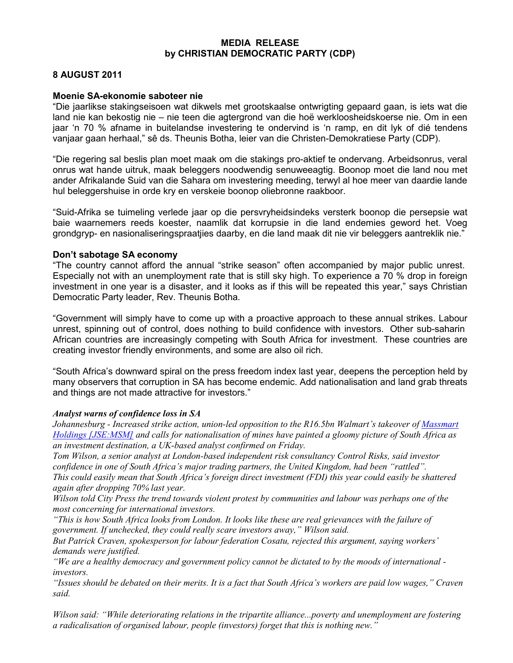### MEDIA RELEASE by CHRISTIAN DEMOCRATIC PARTY (CDP)

# 8 AUGUST 2011

## Moenie SA-ekonomie saboteer nie

"Die jaarlikse stakingseisoen wat dikwels met grootskaalse ontwrigting gepaard gaan, is iets wat die land nie kan bekostig nie – nie teen die agtergrond van die hoë werkloosheidskoerse nie. Om in een jaar 'n 70 % afname in buitelandse investering te ondervind is 'n ramp, en dit lyk of dié tendens vanjaar gaan herhaal," sê ds. Theunis Botha, leier van die Christen-Demokratiese Party (CDP).

"Die regering sal beslis plan moet maak om die stakings pro-aktief te ondervang. Arbeidsonrus, veral onrus wat hande uitruk, maak beleggers noodwendig senuweeagtig. Boonop moet die land nou met ander Afrikalande Suid van die Sahara om investering meeding, terwyl al hoe meer van daardie lande hul beleggershuise in orde kry en verskeie boonop oliebronne raakboor.

"Suid-Afrika se tuimeling verlede jaar op die persvryheidsindeks versterk boonop die persepsie wat baie waarnemers reeds koester, naamlik dat korrupsie in die land endemies geword het. Voeg grondgryp- en nasionaliseringspraatjies daarby, en die land maak dit nie vir beleggers aantreklik nie."

## Don't sabotage SA economy

"The country cannot afford the annual "strike season" often accompanied by major public unrest. Especially not with an unemployment rate that is still sky high. To experience a 70 % drop in foreign investment in one year is a disaster, and it looks as if this will be repeated this year," says Christian Democratic Party leader, Rev. Theunis Botha.

"Government will simply have to come up with a proactive approach to these annual strikes. Labour unrest, spinning out of control, does nothing to build confidence with investors. Other sub-saharin African countries are increasingly competing with South Africa for investment. These countries are creating investor friendly environments, and some are also oil rich.

"South Africa's downward spiral on the press freedom index last year, deepens the perception held by many observers that corruption in SA has become endemic. Add nationalisation and land grab threats and things are not made attractive for investors."

### Analyst warns of confidence loss in SA

*Johannesburg - Increased strike action, union-led opposition to the R16.5bn Walmart's takeover of Massmart Holdings [JSE:MSM] and calls for nationalisation of mines have painted a gloomy picture of South Africa as an investment destination, a UK-based analyst confirmed on Friday.* 

*Tom Wilson, a senior analyst at London-based independent risk consultancy Control Risks, said investor confidence in one of South Africa's major trading partners, the United Kingdom, had been "rattled". This could easily mean that South Africa's foreign direct investment (FDI) this year could easily be shattered* 

*again after dropping 70% last year. Wilson told City Press the trend towards violent protest by communities and labour was perhaps one of the most concerning for international investors.* 

*"This is how South Africa looks from London. It looks like these are real grievances with the failure of government. If unchecked, they could really scare investors away," Wilson said.* 

*But Patrick Craven, spokesperson for labour federation Cosatu, rejected this argument, saying workers' demands were justified.* 

*"We are a healthy democracy and government policy cannot be dictated to by the moods of international investors.* 

*"Issues should be debated on their merits. It is a fact that South Africa's workers are paid low wages," Craven said.* 

*Wilson said: "While deteriorating relations in the tripartite alliance...poverty and unemployment are fostering a radicalisation of organised labour, people (investors) forget that this is nothing new."*